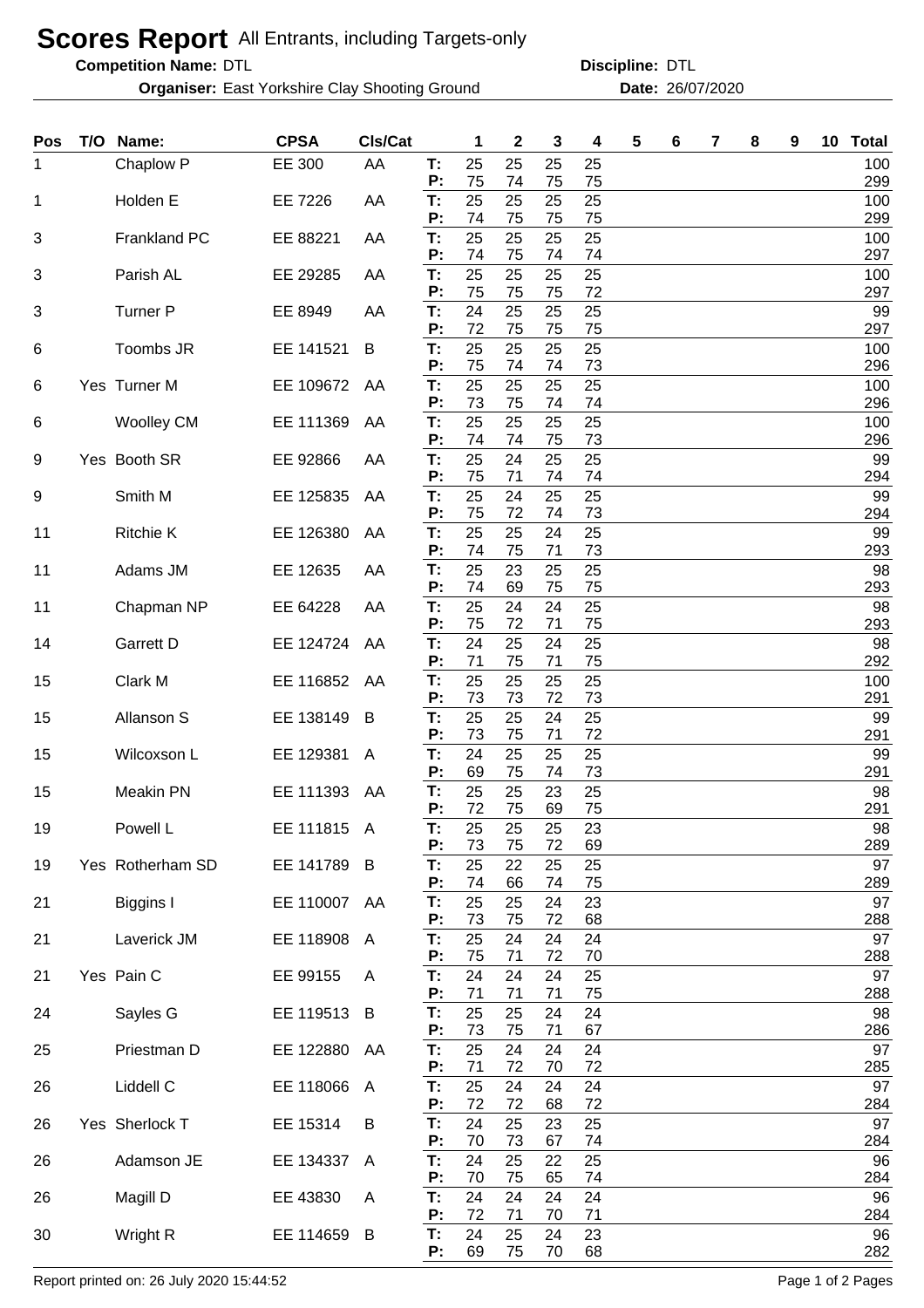## **Scores Report** All Entrants, including Targets-only

**Competition Name:**

**Organiser:** East Yorkshire Clay Shooting Ground **26/07/2020** Date: 26/07/2020

DTL DTL **Discipline:**

| Pos | T/O | Name:               | <b>CPSA</b>  | CIs/Cat      |          | 1        | $\boldsymbol{2}$ | 3        | 4        | 5 | 6 | 7 | 8 | 9 | 10 | <b>Total</b> |
|-----|-----|---------------------|--------------|--------------|----------|----------|------------------|----------|----------|---|---|---|---|---|----|--------------|
| 1   |     | Chaplow P           | EE 300       | AA           | T.<br>P: | 25<br>75 | 25<br>74         | 25<br>75 | 25<br>75 |   |   |   |   |   |    | 100<br>299   |
| 1   |     | Holden E            | EE 7226      | AA           | T:<br>P: | 25<br>74 | 25<br>75         | 25<br>75 | 25<br>75 |   |   |   |   |   |    | 100<br>299   |
| 3   |     | <b>Frankland PC</b> | EE 88221     | AA           | T:       | 25       | 25               | 25       | 25       |   |   |   |   |   |    | 100          |
| 3   |     | Parish AL           | EE 29285     | AA           | P:<br>T: | 74<br>25 | 75<br>25         | 74<br>25 | 74<br>25 |   |   |   |   |   |    | 297<br>100   |
| 3   |     | <b>Turner P</b>     | EE 8949      | AA           | P:<br>T: | 75<br>24 | 75<br>25         | 75<br>25 | 72<br>25 |   |   |   |   |   |    | 297<br>99    |
| 6   |     | Toombs JR           | EE 141521    | B            | P:<br>Т: | 72<br>25 | 75<br>25         | 75<br>25 | 75<br>25 |   |   |   |   |   |    | 297<br>100   |
| 6   |     | Yes Turner M        | EE 109672    | AA           | P:<br>T: | 75<br>25 | 74<br>25         | 74<br>25 | 73<br>25 |   |   |   |   |   |    | 296<br>100   |
| 6   |     | <b>Woolley CM</b>   | EE 111369    | AA           | P:<br>T: | 73<br>25 | 75<br>25         | 74<br>25 | 74<br>25 |   |   |   |   |   |    | 296<br>100   |
|     |     |                     |              |              | P:       | 74       | 74               | 75       | 73       |   |   |   |   |   |    | 296          |
| 9   |     | Yes Booth SR        | EE 92866     | AA           | T:<br>P: | 25<br>75 | 24<br>71         | 25<br>74 | 25<br>74 |   |   |   |   |   |    | 99<br>294    |
| 9   |     | Smith M             | EE 125835    | AA           | T:       | 25       | 24               | 25       | 25       |   |   |   |   |   |    | 99           |
| 11  |     | <b>Ritchie K</b>    | EE 126380    | AA           | P:<br>T: | 75<br>25 | 72<br>25         | 74<br>24 | 73<br>25 |   |   |   |   |   |    | 294<br>99    |
| 11  |     | Adams JM            | EE 12635     | AA           | P:<br>T: | 74<br>25 | 75<br>23         | 71<br>25 | 73<br>25 |   |   |   |   |   |    | 293<br>98    |
|     |     |                     |              |              | P:       | 74       | 69               | 75       | 75       |   |   |   |   |   |    | 293          |
| 11  |     | Chapman NP          | EE 64228     | AA           | T:<br>P: | 25<br>75 | 24<br>72         | 24<br>71 | 25<br>75 |   |   |   |   |   |    | 98<br>293    |
| 14  |     | Garrett D           | EE 124724    | AA           | T:       | 24       | 25               | 24       | 25       |   |   |   |   |   |    | 98           |
| 15  |     | Clark M             | EE 116852    | AA           | P:<br>T: | 71<br>25 | 75<br>25         | 71<br>25 | 75<br>25 |   |   |   |   |   |    | 292<br>100   |
| 15  |     | Allanson S          | EE 138149    | B            | P:<br>T: | 73<br>25 | 73<br>25         | 72<br>24 | 73<br>25 |   |   |   |   |   |    | 291<br>99    |
| 15  |     | Wilcoxson L         | EE 129381    | A            | P:<br>Т: | 73<br>24 | 75<br>25         | 71<br>25 | 72<br>25 |   |   |   |   |   |    | 291<br>99    |
|     |     |                     |              |              | Р:       | 69       | 75               | 74       | 73       |   |   |   |   |   |    | 291          |
| 15  |     | <b>Meakin PN</b>    | EE 111393    | AA           | T:<br>P: | 25<br>72 | 25<br>75         | 23<br>69 | 25<br>75 |   |   |   |   |   |    | 98<br>291    |
| 19  |     | Powell L            | EE 111815 A  |              | Т:<br>P: | 25<br>73 | 25<br>75         | 25<br>72 | 23<br>69 |   |   |   |   |   |    | 98<br>289    |
| 19  |     | Yes Rotherham SD    | EE 141789    | - B          | T:<br>P: | 25<br>74 | 22<br>66         | 25<br>74 | 25<br>75 |   |   |   |   |   |    | 97<br>289    |
| 21  |     | Biggins I           | EE 110007 AA |              | T:       | 25       | 25               | 24       | 23       |   |   |   |   |   |    | 97           |
| 21  |     | Laverick JM         | EE 118908    | $\mathsf{A}$ | P:<br>T: | 73<br>25 | 75<br>24         | 72<br>24 | 68<br>24 |   |   |   |   |   |    | 288<br>97    |
| 21  |     | Yes Pain C          | EE 99155     | A            | P:<br>T: | 75<br>24 | 71<br>24         | 72<br>24 | 70<br>25 |   |   |   |   |   |    | 288<br>97    |
|     |     |                     |              |              | P:       | 71       | 71               | 71       | 75       |   |   |   |   |   |    | 288          |
| 24  |     | Sayles G            | EE 119513    | B            | T:<br>P: | 25<br>73 | 25<br>75         | 24<br>71 | 24<br>67 |   |   |   |   |   |    | 98<br>286    |
| 25  |     | Priestman D         | EE 122880    | AA           | T:<br>P: | 25<br>71 | 24<br>72         | 24<br>70 | 24<br>72 |   |   |   |   |   |    | 97<br>285    |
| 26  |     | Liddell C           | EE 118066    | A            | Т:<br>P: | 25<br>72 | 24<br>72         | 24<br>68 | 24<br>72 |   |   |   |   |   |    | 97<br>284    |
| 26  |     | Yes Sherlock T      | EE 15314     | B            | T:       | 24       | 25               | 23       | 25       |   |   |   |   |   |    | 97           |
| 26  |     | Adamson JE          | EE 134337    | $\mathsf{A}$ | P:<br>T: | 70<br>24 | 73<br>25         | 67<br>22 | 74<br>25 |   |   |   |   |   |    | 284<br>96    |
| 26  |     | Magill D            | EE 43830     | A            | P:<br>T: | 70<br>24 | 75<br>24         | 65<br>24 | 74<br>24 |   |   |   |   |   |    | 284<br>96    |
| 30  |     | Wright R            | EE 114659    | B            | P:<br>T: | 72<br>24 | 71<br>25         | 70<br>24 | 71<br>23 |   |   |   |   |   |    | 284<br>96    |
|     |     |                     |              |              | P:       | 69       | 75               | 70       | 68       |   |   |   |   |   |    | 282          |

Report printed on: 26 July 2020 15:44:52 Page 1 of 2 Pages